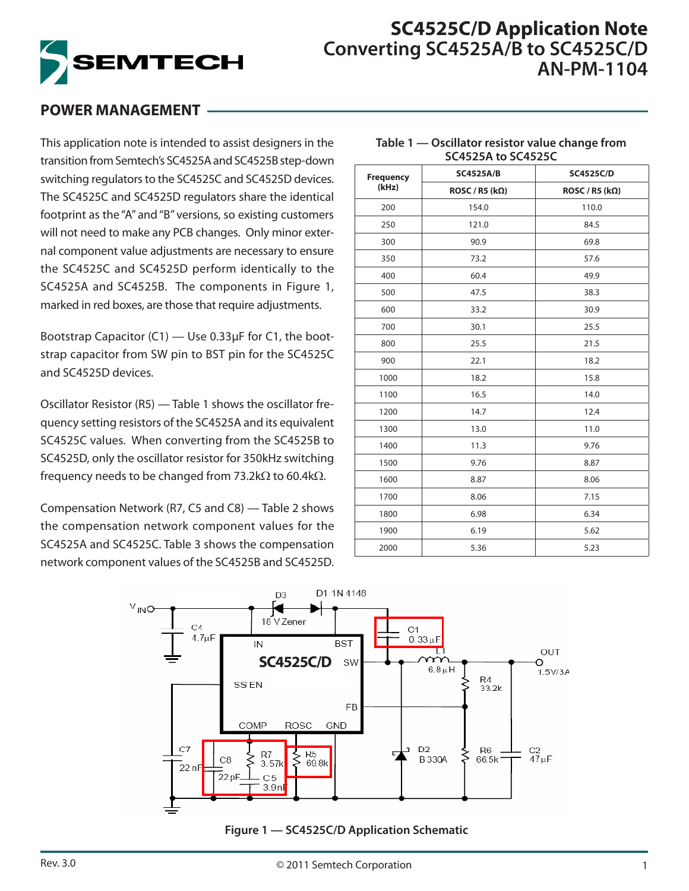

# **SC4525C/D Application Note Converting SC4525A/B to SC4525C/D AN-PM-1104**

**Table 1 — Oscillator resistor value change from SC4525A to SC4525C**

## **POWER MANAGEMENT**

This application note is intended to assist designers in the transition from Semtech's SC4525A and SC4525B step-down switching regulators to the SC4525C and SC4525D devices. The SC4525C and SC4525D regulators share the identical footprint as the "A" and "B" versions, so existing customers will not need to make any PCB changes. Only minor external component value adjustments are necessary to ensure the SC4525C and SC4525D perform identically to the SC4525A and SC4525B. The components in Figure 1, marked in red boxes, are those that require adjustments.

Bootstrap Capacitor (C1) — Use 0.33μF for C1, the bootstrap capacitor from SW pin to BST pin for the SC4525C and SC4525D devices.

Oscillator Resistor (R5) — Table 1 shows the oscillator frequency setting resistors of the SC4525A and its equivalent SC4525C values. When converting from the SC4525B to SC4525D, only the oscillator resistor for 350kHz switching frequency needs to be changed from 73.2k $\Omega$  to 60.4k $\Omega$ .

Compensation Network (R7, C5 and C8) — Table 2 shows the compensation network component values for the SC4525A and SC4525C. Table 3 shows the compensation network component values of the SC4525B and SC4525D.

| <b>Frequency</b> | <b>SC4525A/B</b>            | <b>SC4525C/D</b>            |  |  |  |  |
|------------------|-----------------------------|-----------------------------|--|--|--|--|
| (kHz)            | ROSC / R5 (k <sub>Ω</sub> ) | ROSC / R5 (k <sub>Ω</sub> ) |  |  |  |  |
| 200              | 154.0                       | 110.0                       |  |  |  |  |
| 250              | 121.0                       | 84.5                        |  |  |  |  |
| 300              | 90.9                        | 69.8                        |  |  |  |  |
| 350              | 73.2                        | 57.6                        |  |  |  |  |
| 400              | 60.4                        | 49.9                        |  |  |  |  |
| 500              | 47.5                        | 38.3                        |  |  |  |  |
| 600              | 33.2                        | 30.9                        |  |  |  |  |
| 700              | 30.1                        | 25.5                        |  |  |  |  |
| 800              | 25.5                        | 21.5                        |  |  |  |  |
| 900              | 22.1                        | 18.2                        |  |  |  |  |
| 1000             | 18.2                        | 15.8                        |  |  |  |  |
| 1100             | 16.5                        | 14.0                        |  |  |  |  |
| 1200             | 14.7                        | 12.4                        |  |  |  |  |
| 1300             | 13.0                        | 11.0                        |  |  |  |  |
| 1400             | 11.3                        | 9.76                        |  |  |  |  |
| 1500             | 9.76                        | 8.87                        |  |  |  |  |
| 1600             | 8.87                        | 8.06                        |  |  |  |  |
| 1700             | 8.06                        | 7.15                        |  |  |  |  |
| 1800             | 6.98                        | 6.34                        |  |  |  |  |
| 1900             | 6.19                        | 5.62                        |  |  |  |  |
| 2000             | 5.36                        | 5.23                        |  |  |  |  |



**Figure 1 — SC4525C/D Application Schematic**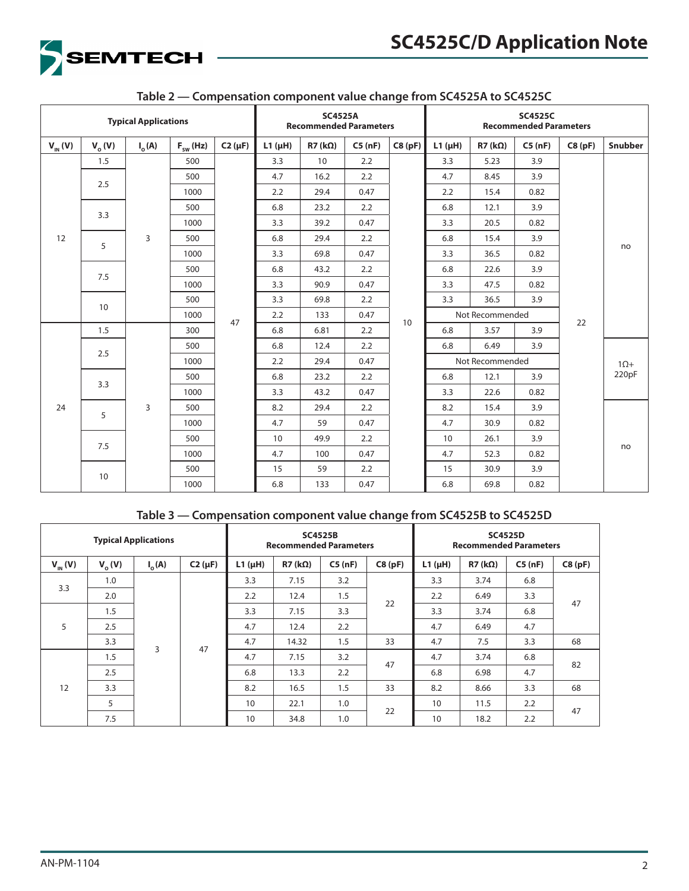

| <b>Typical Applications</b> |            |                 |               | <b>SC4525A</b><br><b>Recommended Parameters</b> |             |                    |        | <b>SC4525C</b><br><b>Recommended Parameters</b> |             |                    |        |        |         |             |
|-----------------------------|------------|-----------------|---------------|-------------------------------------------------|-------------|--------------------|--------|-------------------------------------------------|-------------|--------------------|--------|--------|---------|-------------|
| $V_{IN}(V)$                 | $V_{o}(V)$ | $I_{\alpha}(A)$ | $F_{sw}$ (Hz) | $C2(\mu F)$                                     | $L1(\mu H)$ | $R7$ (k $\Omega$ ) | C5(nF) | C8(pF)                                          | $L1(\mu H)$ | $R7$ (k $\Omega$ ) | C5(nF) | C8(pF) | Snubber |             |
|                             | 1.5        |                 | 500           |                                                 | 3.3         | 10                 | 2.2    |                                                 | 3.3         | 5.23               | 3.9    |        |         |             |
|                             |            |                 | 500           |                                                 | 4.7         | 16.2               | 2.2    |                                                 | 4.7         | 8.45               | 3.9    |        |         |             |
|                             | 2.5        |                 | 1000          |                                                 | 2.2         | 29.4               | 0.47   |                                                 | 2.2         | 15.4               | 0.82   |        |         |             |
|                             | 3.3        |                 | 500           |                                                 | 6.8         | 23.2               | 2.2    |                                                 | 6.8         | 12.1               | 3.9    |        |         |             |
|                             |            |                 | 1000          |                                                 | 3.3         | 39.2               | 0.47   |                                                 | 3.3         | 20.5               | 0.82   |        |         |             |
| 12                          | 5          | 3               | 500           |                                                 | 6.8         | 29.4               | 2.2    |                                                 | 6.8         | 15.4               | 3.9    |        |         |             |
|                             |            |                 | 1000          |                                                 | 3.3         | 69.8               | 0.47   |                                                 | 3.3         | 36.5               | 0.82   |        | no      |             |
|                             | 7.5        |                 | 500           |                                                 | 6.8         | 43.2               | 2.2    |                                                 | 6.8         | 22.6               | 3.9    |        |         |             |
|                             |            |                 | 1000          |                                                 | 3.3         | 90.9               | 0.47   |                                                 | 3.3         | 47.5               | 0.82   |        |         |             |
|                             | 10         |                 | 500           |                                                 | 3.3         | 69.8               | 2.2    |                                                 | 3.3         | 36.5               | 3.9    |        |         |             |
|                             |            |                 | 1000          | 47                                              | 2.2         | 133                | 0.47   | 10                                              |             | Not Recommended    |        | 22     |         |             |
|                             | 1.5        |                 | 300           |                                                 | 6.8         | 6.81               | 2.2    |                                                 | 6.8         | 3.57               | 3.9    |        |         |             |
|                             | 2.5        |                 | 500           |                                                 | 6.8         | 12.4               | 2.2    |                                                 | 6.8         | 3.9<br>6.49        |        |        |         |             |
|                             |            |                 |               |                                                 | 1000        | 2.2                | 29.4   | 0.47                                            |             | Not Recommended    |        |        |         | $1\Omega +$ |
|                             | 3.3        |                 | 500           |                                                 | 6.8         | 23.2               | 2.2    |                                                 | 6.8         | 12.1               | 3.9    |        | 220pF   |             |
| 24                          |            |                 |               | 1000                                            |             | 3.3                | 43.2   | 0.47                                            |             | 3.3                | 22.6   | 0.82   |         |             |
|                             | 5          | 3               | 500           |                                                 | 8.2         | 29.4               | 2.2    |                                                 | 8.2         | 15.4               | 3.9    |        |         |             |
|                             |            |                 | 1000          |                                                 | 4.7         | 59                 | 0.47   |                                                 | 4.7         | 30.9               | 0.82   |        |         |             |
|                             |            |                 | 500           |                                                 | 10          | 49.9               | 2.2    |                                                 | 10          | 26.1               | 3.9    |        |         |             |
|                             | 7.5        |                 | 1000          |                                                 | 4.7         | 100                | 0.47   |                                                 | 4.7         | 52.3               | 0.82   |        | no      |             |
|                             |            |                 | 500           |                                                 | 15          | 59                 | 2.2    |                                                 | 15          | 30.9               | 3.9    |        |         |             |
|                             | 10         |                 |               | 1000                                            |             | 6.8                | 133    | 0.47                                            |             | 6.8                | 69.8   | 0.82   |         |             |

## **Table 2 — Compensation component value change from SC4525A to SC4525C**

### **Table 3 — Compensation component value change from SC4525B to SC4525D**

| <b>Typical Applications</b> |          |                 | <b>SC4525B</b><br><b>Recommended Parameters</b> |             |                    |        | <b>SC4525D</b><br><b>Recommended Parameters</b> |                 |           |        |        |
|-----------------------------|----------|-----------------|-------------------------------------------------|-------------|--------------------|--------|-------------------------------------------------|-----------------|-----------|--------|--------|
| $V_{\text{IN}}(V)$          | $V_0(V)$ | $I_{\alpha}(A)$ | $C2(\mu F)$                                     | $L1(\mu H)$ | $R7$ (k $\Omega$ ) | C5(nF) | C8(pF)                                          | $L1$ ( $\mu$ H) | $R7$ (kΩ) | C5(nF) | C8(pF) |
| 3.3                         | 1.0      |                 |                                                 | 3.3         | 7.15               | 3.2    | 22                                              | 3.3             | 3.74      | 6.8    | 47     |
|                             | 2.0      |                 |                                                 | 2.2         | 12.4               | 1.5    |                                                 | 2.2             | 6.49      | 3.3    |        |
|                             | 1.5      |                 |                                                 | 3.3         | 7.15               | 3.3    |                                                 | 3.3             | 3.74      | 6.8    |        |
| 5                           | 2.5      |                 | 47                                              | 4.7         | 12.4               | 2.2    |                                                 | 4.7             | 6.49      | 4.7    |        |
|                             | 3.3      |                 |                                                 | 4.7         | 14.32              | 1.5    | 33                                              | 4.7             | 7.5       | 3.3    | 68     |
|                             | 1.5      | 3               |                                                 | 4.7         | 7.15               | 3.2    |                                                 | 4.7             | 3.74      | 6.8    |        |
|                             | 2.5      |                 |                                                 | 6.8         | 13.3               | 2.2    | 47                                              | 6.8             | 6.98      | 4.7    | 82     |
| 12                          | 3.3      |                 |                                                 | 8.2         | 16.5               | 1.5    | 33                                              | 8.2             | 8.66      | 3.3    | 68     |
|                             | 5        |                 |                                                 | 10          | 22.1               | 1.0    |                                                 | 10              | 11.5      | 2.2    |        |
|                             | 7.5      |                 |                                                 | 10          | 34.8               | 1.0    | 22                                              | 10              | 18.2      | 2.2    | 47     |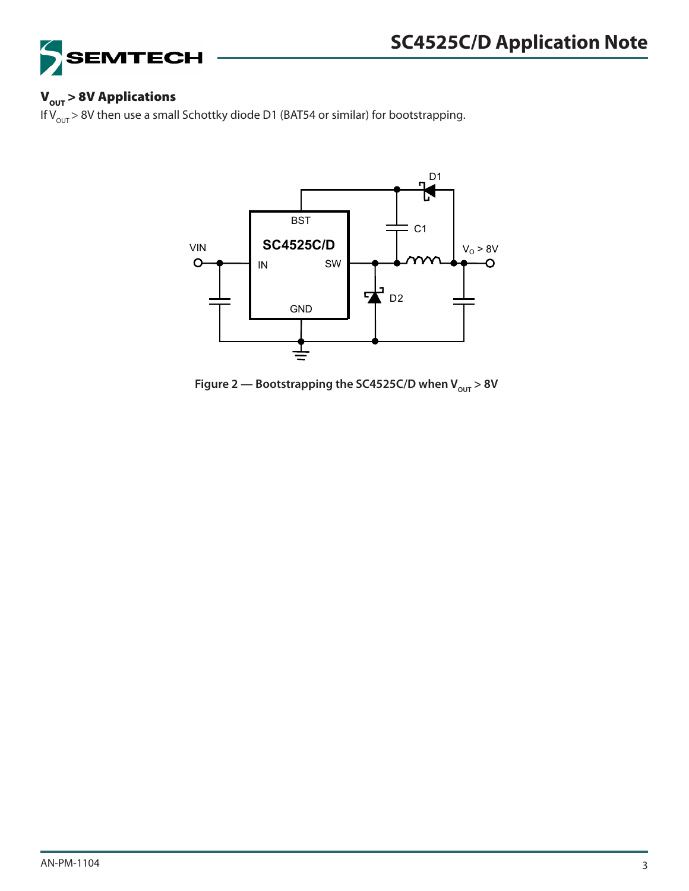

## $V<sub>OUT</sub> > 8V$  Applications

If  $V_{\text{OUT}}$  > 8V then use a small Schottky diode D1 (BAT54 or similar) for bootstrapping.



Figure 2 — Bootstrapping the SC4525C/D when  $V_{\text{out}} > 8V$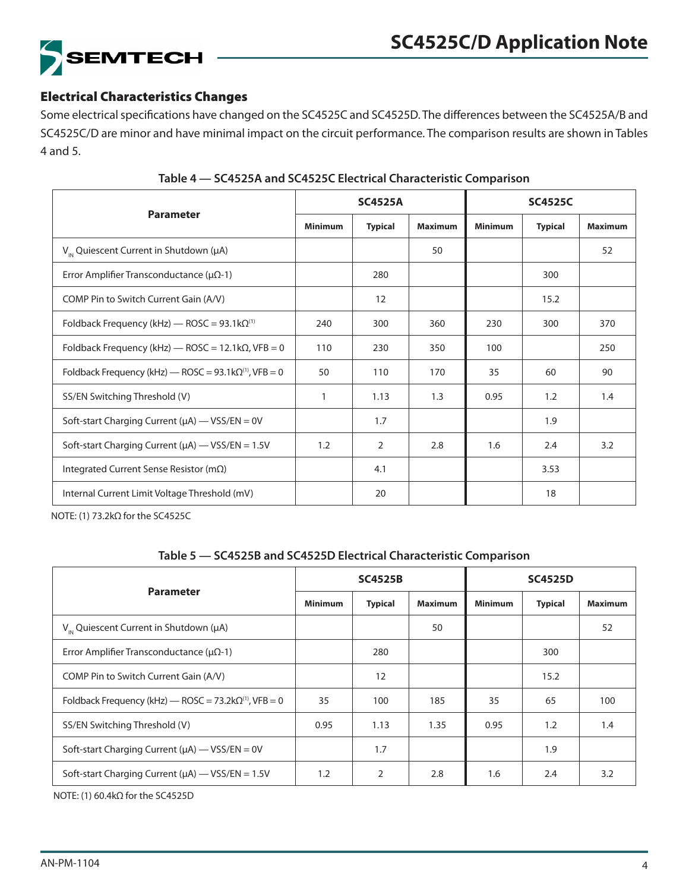

### Electrical Characteristics Changes

Some electrical specifications have changed on the SC4525C and SC4525D. The differences between the SC4525A/B and SC4525C/D are minor and have minimal impact on the circuit performance. The comparison results are shown in Tables 4 and 5.

|                                                                         |                | <b>SC4525A</b> |                | <b>SC4525C</b> |                |                |  |
|-------------------------------------------------------------------------|----------------|----------------|----------------|----------------|----------------|----------------|--|
| <b>Parameter</b>                                                        | <b>Minimum</b> | <b>Typical</b> | <b>Maximum</b> | <b>Minimum</b> | <b>Typical</b> | <b>Maximum</b> |  |
| $V_{\text{in}}$ Quiescent Current in Shutdown (µA)                      |                |                | 50             |                |                | 52             |  |
| Error Amplifier Transconductance ( $\mu\Omega$ -1)                      |                | 280            |                |                | 300            |                |  |
| COMP Pin to Switch Current Gain (A/V)                                   |                | 12             |                |                | 15.2           |                |  |
| Foldback Frequency (kHz) - ROSC = $93.1 \text{k}\Omega^{(1)}$           | 240            | 300            | 360            | 230            | 300            | 370            |  |
| Foldback Frequency (kHz) $-$ ROSC = 12.1k $\Omega$ , VFB = 0            | 110            | 230            | 350            | 100            |                | 250            |  |
| Foldback Frequency (kHz) — ROSC = $93.1 \text{k}\Omega^{(1)}$ , VFB = 0 | 50             | 110            | 170            | 35             | 60             | 90             |  |
| SS/EN Switching Threshold (V)                                           | 1              | 1.13           | 1.3            | 0.95           | 1.2            | 1.4            |  |
| Soft-start Charging Current ( $\mu$ A) - VSS/EN = 0V                    |                | 1.7            |                |                | 1.9            |                |  |
| Soft-start Charging Current ( $\mu$ A) - VSS/EN = 1.5V                  | 1.2            | $\overline{2}$ | 2.8            | 1.6            | 2.4            | 3.2            |  |
| Integrated Current Sense Resistor ( $m\Omega$ )                         |                | 4.1            |                |                | 3.53           |                |  |
| Internal Current Limit Voltage Threshold (mV)                           |                | 20             |                |                | 18             |                |  |

#### **Table 4 — SC4525A and SC4525C Electrical Characteristic Comparison**

NOTE: (1) 73.2kΩ for the SC4525C

#### **Table 5 — SC4525B and SC4525D Electrical Characteristic Comparison**

| <b>Parameter</b>                                                    |                | <b>SC4525B</b> |                | <b>SC4525D</b> |                |                |  |
|---------------------------------------------------------------------|----------------|----------------|----------------|----------------|----------------|----------------|--|
|                                                                     | <b>Minimum</b> | <b>Typical</b> | <b>Maximum</b> | <b>Minimum</b> | <b>Typical</b> | <b>Maximum</b> |  |
| $V_{\mu}$ Quiescent Current in Shutdown ( $\mu$ A)                  |                |                | 50             |                |                | 52             |  |
| Error Amplifier Transconductance ( $\mu\Omega$ -1)                  |                | 280            |                |                | 300            |                |  |
| COMP Pin to Switch Current Gain (A/V)                               |                | 12             |                |                | 15.2           |                |  |
| Foldback Frequency (kHz) — ROSC = $73.2$ k $\Omega^{(1)}$ , VFB = 0 | 35             | 100            | 185            | 35             | 65             | 100            |  |
| SS/EN Switching Threshold (V)                                       | 0.95           | 1.13           | 1.35           | 0.95           | 1.2            | 1.4            |  |
| Soft-start Charging Current ( $\mu$ A) - VSS/EN = 0V                |                | 1.7            |                |                | 1.9            |                |  |
| Soft-start Charging Current ( $\mu$ A) — VSS/EN = 1.5V              | 1.2            | 2              | 2.8            | 1.6            | 2.4            | 3.2            |  |

NOTE: (1) 60.4kΩ for the SC4525D